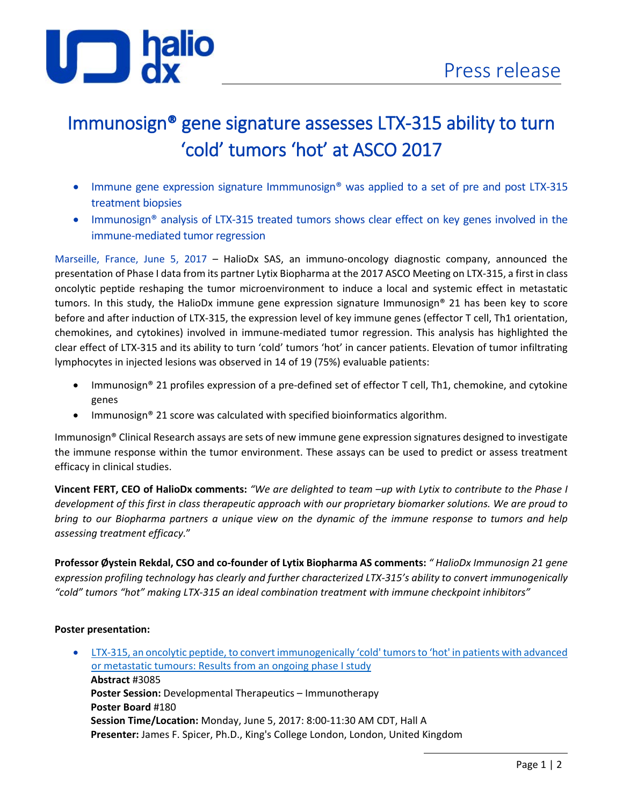

# Immunosign® gene signature assesses LTX-315 ability to turn 'cold' tumors 'hot' at ASCO 2017

- Immune gene expression signature Immmunosign® was applied to a set of pre and post LTX-315 treatment biopsies
- Immunosign<sup>®</sup> analysis of LTX-315 treated tumors shows clear effect on key genes involved in the immune-mediated tumor regression

Marseille, France, June 5, 2017 – HalioDx SAS, an immuno-oncology diagnostic company, announced the presentation of Phase I data from its partner Lytix Biopharma at the 2017 ASCO Meeting on LTX-315, a first in class oncolytic peptide reshaping the tumor microenvironment to induce a local and systemic effect in metastatic tumors. In this study, the HalioDx immune gene expression signature Immunosign® 21 has been key to score before and after induction of LTX-315, the expression level of key immune genes (effector T cell, Th1 orientation, chemokines, and cytokines) involved in immune-mediated tumor regression. This analysis has highlighted the clear effect of LTX-315 and its ability to turn 'cold' tumors 'hot' in cancer patients. Elevation of tumor infiltrating lymphocytes in injected lesions was observed in 14 of 19 (75%) evaluable patients:

- Immunosign® 21 profiles expression of a pre-defined set of effector T cell, Th1, chemokine, and cytokine genes
- Immunosign® 21 score was calculated with specified bioinformatics algorithm.

Immunosign® Clinical Research assays are sets of new immune gene expression signatures designed to investigate the immune response within the tumor environment. These assays can be used to predict or assess treatment efficacy in clinical studies.

**Vincent FERT, CEO of HalioDx comments:** *"We are delighted to team –up with Lytix to contribute to the Phase I development of this first in class therapeutic approach with our proprietary biomarker solutions. We are proud to bring to our Biopharma partners a unique view on the dynamic of the immune response to tumors and help assessing treatment efficacy.*"

**Professor Øystein Rekdal, CSO and co-founder of Lytix Biopharma AS comments:** *" HalioDx Immunosign 21 gene expression profiling technology has clearly and further characterized LTX-315's ability to convert immunogenically "cold" tumors "hot" making LTX-315 an ideal combination treatment with immune checkpoint inhibitors"* 

# **Poster presentation:**

• [LTX-315, an oncolytic peptide, to convert immunogenically 'cold' tumors to 'hot' in patients with advanced](http://abstracts.asco.org/199/AbstView_199_192334.html)  [or metastatic tumours: Results from an ongoing phase I study](http://abstracts.asco.org/199/AbstView_199_192334.html) **Abstract** #3085 **Poster Session:** Developmental Therapeutics – Immunotherapy **Poster Board** #180 **Session Time/Location:** Monday, June 5, 2017: 8:00-11:30 AM CDT, Hall A **Presenter:** James F. Spicer, Ph.D., King's College London, London, United Kingdom